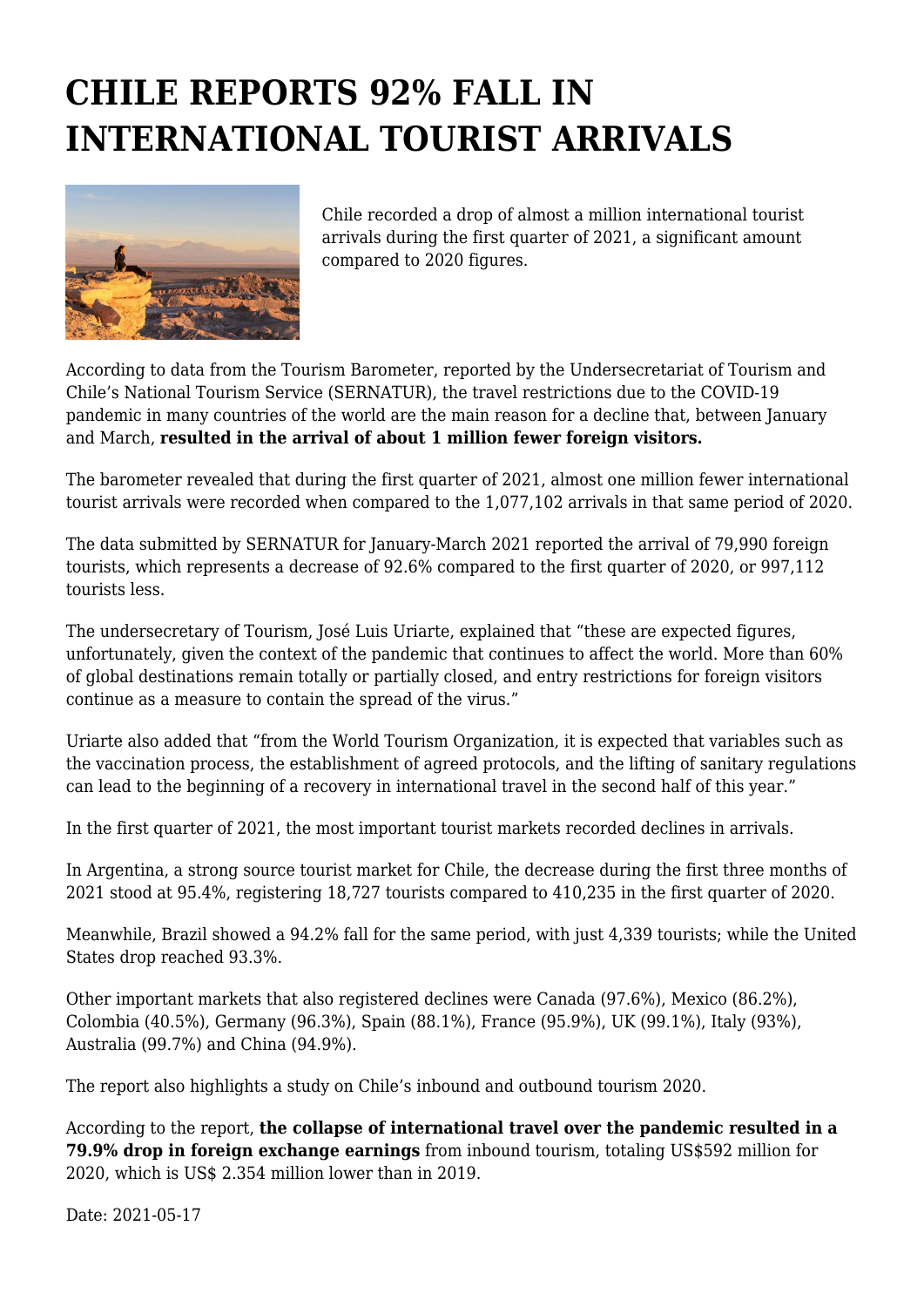## **CHILE REPORTS 92% FALL IN INTERNATIONAL TOURIST ARRIVALS**



Chile recorded a drop of almost a million international tourist arrivals during the first quarter of 2021, a significant amount compared to 2020 figures.

According to data from the Tourism Barometer, reported by the Undersecretariat of Tourism and Chile's National Tourism Service (SERNATUR), the travel restrictions due to the COVID-19 pandemic in many countries of the world are the main reason for a decline that, between January and March, **resulted in the arrival of about 1 million fewer foreign visitors.**

The barometer revealed that during the first quarter of 2021, almost one million fewer international tourist arrivals were recorded when compared to the 1,077,102 arrivals in that same period of 2020.

The data submitted by SERNATUR for January-March 2021 reported the arrival of 79,990 foreign tourists, which represents a decrease of 92.6% compared to the first quarter of 2020, or 997,112 tourists less.

The undersecretary of Tourism, José Luis Uriarte, explained that "these are expected figures, unfortunately, given the context of the pandemic that continues to affect the world. More than 60% of global destinations remain totally or partially closed, and entry restrictions for foreign visitors continue as a measure to contain the spread of the virus."

Uriarte also added that "from the World Tourism Organization, it is expected that variables such as the vaccination process, the establishment of agreed protocols, and the lifting of sanitary regulations can lead to the beginning of a recovery in international travel in the second half of this year."

In the first quarter of 2021, the most important tourist markets recorded declines in arrivals.

In Argentina, a strong source tourist market for Chile, the decrease during the first three months of 2021 stood at 95.4%, registering 18,727 tourists compared to 410,235 in the first quarter of 2020.

Meanwhile, Brazil showed a 94.2% fall for the same period, with just 4,339 tourists; while the United States drop reached 93.3%.

Other important markets that also registered declines were Canada (97.6%), Mexico (86.2%), Colombia (40.5%), Germany (96.3%), Spain (88.1%), France (95.9%), UK (99.1%), Italy (93%), Australia (99.7%) and China (94.9%).

The report also highlights a study on Chile's inbound and outbound tourism 2020.

According to the report, **the collapse of international travel over the pandemic resulted in a 79.9% drop in foreign exchange earnings** from inbound tourism, totaling US\$592 million for 2020, which is US\$ 2.354 million lower than in 2019.

Date: 2021-05-17